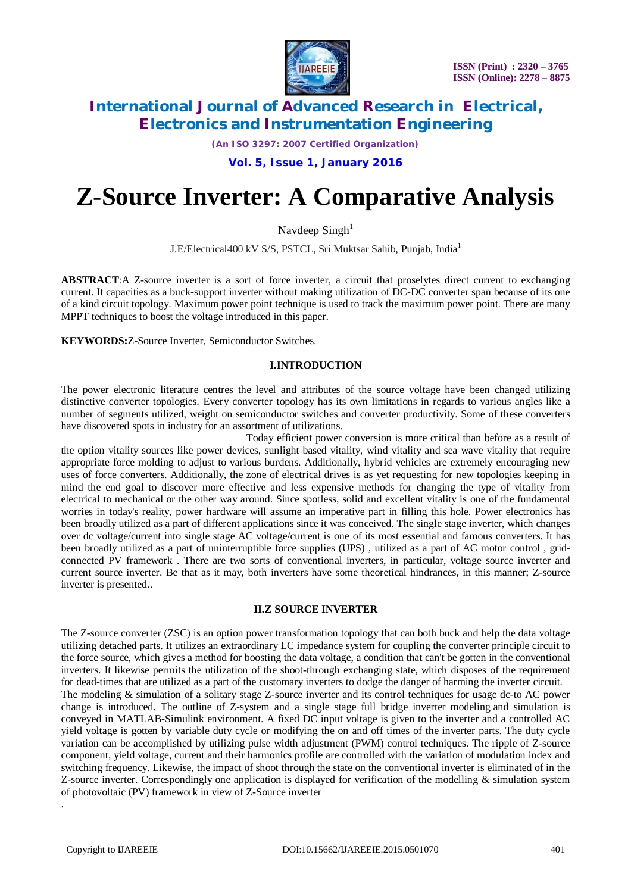

*(An ISO 3297: 2007 Certified Organization)*

### **Vol. 5, Issue 1, January 2016**

# **Z-Source Inverter: A Comparative Analysis**

Navdeep  $Sineh<sup>1</sup>$ 

J.E/Electrical400 kV S/S, PSTCL, Sri Muktsar Sahib, Punjab, India<sup>1</sup>

**ABSTRACT**:A Z-source inverter is a sort of force inverter, a circuit that proselytes direct current to exchanging current. It capacities as a buck-support inverter without making utilization of DC-DC converter span because of its one of a kind circuit topology. Maximum power point technique is used to track the maximum power point. There are many MPPT techniques to boost the voltage introduced in this paper.

**KEYWORDS:**Z-Source Inverter, Semiconductor Switches.

#### **I.INTRODUCTION**

The power electronic literature centres the level and attributes of the source voltage have been changed utilizing distinctive converter topologies. Every converter topology has its own limitations in regards to various angles like a number of segments utilized, weight on semiconductor switches and converter productivity. Some of these converters have discovered spots in industry for an assortment of utilizations.

 Today efficient power conversion is more critical than before as a result of the option vitality sources like power devices, sunlight based vitality, wind vitality and sea wave vitality that require appropriate force molding to adjust to various burdens. Additionally, hybrid vehicles are extremely encouraging new uses of force converters. Additionally, the zone of electrical drives is as yet requesting for new topologies keeping in mind the end goal to discover more effective and less expensive methods for changing the type of vitality from electrical to mechanical or the other way around. Since spotless, solid and excellent vitality is one of the fundamental worries in today's reality, power hardware will assume an imperative part in filling this hole. Power electronics has been broadly utilized as a part of different applications since it was conceived. The single stage inverter, which changes over dc voltage/current into single stage AC voltage/current is one of its most essential and famous converters. It has been broadly utilized as a part of uninterruptible force supplies (UPS) , utilized as a part of AC motor control , gridconnected PV framework . There are two sorts of conventional inverters, in particular, voltage source inverter and current source inverter. Be that as it may, both inverters have some theoretical hindrances, in this manner; Z-source inverter is presented..

#### **II.Z SOURCE INVERTER**

The Z-source converter (ZSC) is an option power transformation topology that can both buck and help the data voltage utilizing detached parts. It utilizes an extraordinary LC impedance system for coupling the converter principle circuit to the force source, which gives a method for boosting the data voltage, a condition that can't be gotten in the conventional inverters. It likewise permits the utilization of the shoot-through exchanging state, which disposes of the requirement for dead-times that are utilized as a part of the customary inverters to dodge the danger of harming the inverter circuit. The modeling & simulation of a solitary stage Z-source inverter and its control techniques for usage dc-to AC power change is introduced. The outline of Z-system and a single stage full bridge inverter modeling and simulation is conveyed in MATLAB-Simulink environment. A fixed DC input voltage is given to the inverter and a controlled AC yield voltage is gotten by variable duty cycle or modifying the on and off times of the inverter parts. The duty cycle variation can be accomplished by utilizing pulse width adjustment (PWM) control techniques. The ripple of Z-source component, yield voltage, current and their harmonics profile are controlled with the variation of modulation index and switching frequency. Likewise, the impact of shoot through the state on the conventional inverter is eliminated of in the Z-source inverter. Correspondingly one application is displayed for verification of the modelling & simulation system of photovoltaic (PV) framework in view of Z-Source inverter

.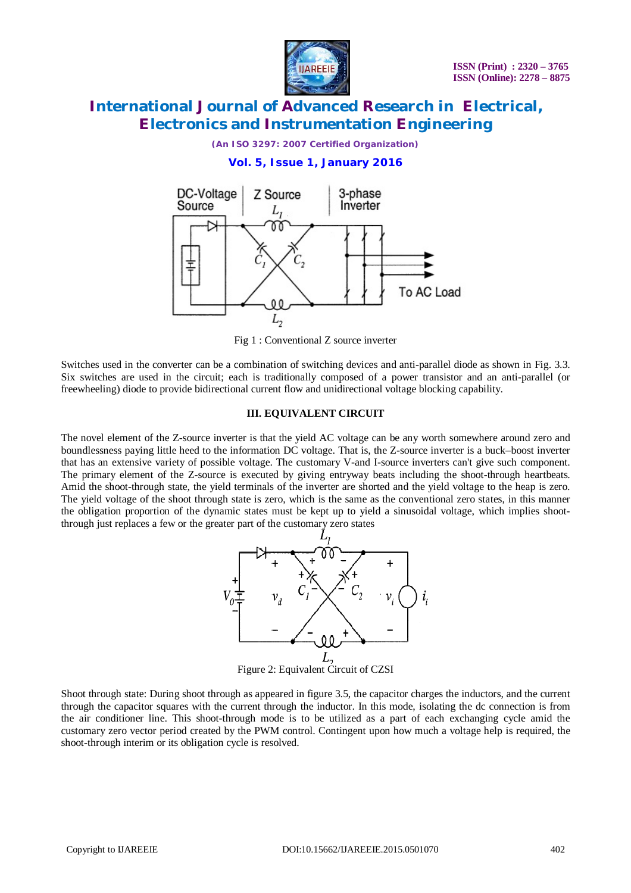

*(An ISO 3297: 2007 Certified Organization)*

### **Vol. 5, Issue 1, January 2016**



Fig 1 : Conventional Z source inverter

Switches used in the converter can be a combination of switching devices and anti-parallel diode as shown in Fig. 3.3. Six switches are used in the circuit; each is traditionally composed of a power transistor and an anti-parallel (or freewheeling) diode to provide bidirectional current flow and unidirectional voltage blocking capability.

#### **III. EQUIVALENT CIRCUIT**

The novel element of the Z-source inverter is that the yield AC voltage can be any worth somewhere around zero and boundlessness paying little heed to the information DC voltage. That is, the Z-source inverter is a buck–boost inverter that has an extensive variety of possible voltage. The customary V-and I-source inverters can't give such component. The primary element of the Z-source is executed by giving entryway beats including the shoot-through heartbeats. Amid the shoot-through state, the yield terminals of the inverter are shorted and the yield voltage to the heap is zero. The yield voltage of the shoot through state is zero, which is the same as the conventional zero states, in this manner the obligation proportion of the dynamic states must be kept up to yield a sinusoidal voltage, which implies shootthrough just replaces a few or the greater part of the customary zero states



Shoot through state: During shoot through as appeared in figure 3.5, the capacitor charges the inductors, and the current through the capacitor squares with the current through the inductor. In this mode, isolating the dc connection is from the air conditioner line. This shoot-through mode is to be utilized as a part of each exchanging cycle amid the customary zero vector period created by the PWM control. Contingent upon how much a voltage help is required, the shoot-through interim or its obligation cycle is resolved.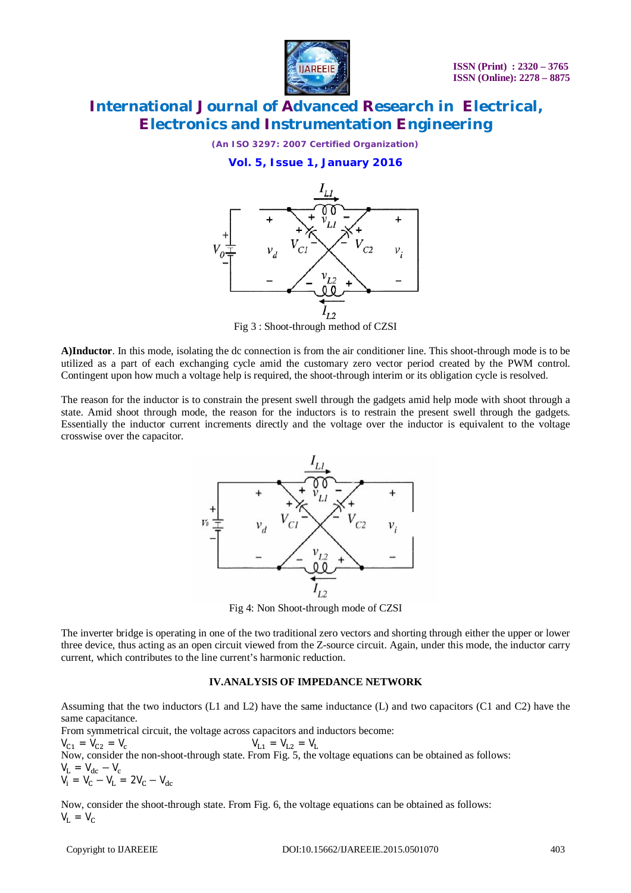

*(An ISO 3297: 2007 Certified Organization)*

### **Vol. 5, Issue 1, January 2016**



Fig 3 : Shoot-through method of CZSI

**A)Inductor**. In this mode, isolating the dc connection is from the air conditioner line. This shoot-through mode is to be utilized as a part of each exchanging cycle amid the customary zero vector period created by the PWM control. Contingent upon how much a voltage help is required, the shoot-through interim or its obligation cycle is resolved.

The reason for the inductor is to constrain the present swell through the gadgets amid help mode with shoot through a state. Amid shoot through mode, the reason for the inductors is to restrain the present swell through the gadgets. Essentially the inductor current increments directly and the voltage over the inductor is equivalent to the voltage crosswise over the capacitor.



Fig 4: Non Shoot-through mode of CZSI

The inverter bridge is operating in one of the two traditional zero vectors and shorting through either the upper or lower three device, thus acting as an open circuit viewed from the Z-source circuit. Again, under this mode, the inductor carry current, which contributes to the line current's harmonic reduction.

### **IV.ANALYSIS OF IMPEDANCE NETWORK**

Assuming that the two inductors (L1 and L2) have the same inductance (L) and two capacitors (C1 and C2) have the same capacitance.

From symmetrical circuit, the voltage across capacitors and inductors become:  $V_{C1} = V_{C2} = V_c$   $V_{L1} = V_{L2} = V_L$ Now, consider the non-shoot-through state. From Fig. 5, the voltage equations can be obtained as follows:  $V_{L} = V_{dc} - V_{c}$  $V_i = V_c - V_L = 2V_c - V_{dc}$ 

Now, consider the shoot-through state. From Fig. 6, the voltage equations can be obtained as follows:  $V_L = V_C$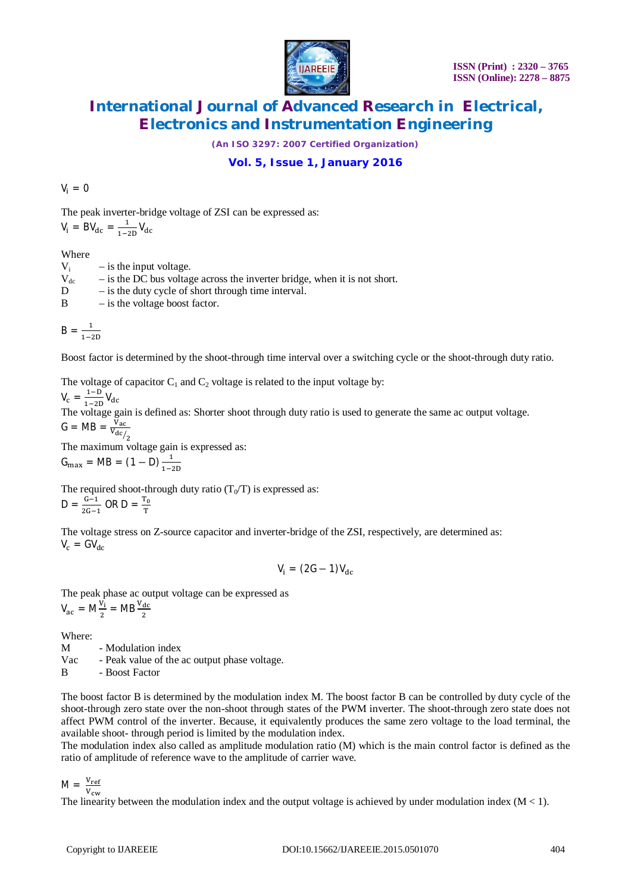

*(An ISO 3297: 2007 Certified Organization)*

### **Vol. 5, Issue 1, January 2016**

 $V_i = 0$ 

The peak inverter-bridge voltage of ZSI can be expressed as:  $\mathbf 1$ 

$$
V_i = BV_{dc} = \frac{1}{1-2D}V_{dc}
$$

**Where** 

 $V_i$  – is the input voltage.  $V_{dc}$  – is the DC bus voltage across the inverter bridge, when it is not short.

D – is the duty cycle of short through time interval.

 $B$  – is the voltage boost factor.

$$
B = \frac{1}{1-2D}
$$

Boost factor is determined by the shoot-through time interval over a switching cycle or the shoot-through duty ratio.

The voltage of capacitor  $C_1$  and  $C_2$  voltage is related to the input voltage by:

 $V_c = \frac{1-D}{1-2}$  $\frac{1-D}{1-2D}V_{dc}$ 

The voltage gain is defined as: Shorter shoot through duty ratio is used to generate the same ac output voltage.  $G = MB = \frac{V_{ac}}{V_{dc}}$ 

 $v_{\text{dc}/2}$ 

The maximum voltage gain is expressed as:

 $G_{\text{max}} = \text{MB} = (1 - \text{D}) \frac{1}{1 - \frac{1}{2}}$  $1 - 2D$ 

The required shoot-through duty ratio  $(T_0/T)$  is expressed as:  $D = \frac{G-1}{2C}$  $\frac{G-1}{2G-1}$  OR D =  $\frac{T_0}{T}$ T

The voltage stress on Z-source capacitor and inverter-bridge of the ZSI, respectively, are determined as:  $V_c = G V_{dc}$ 

$$
V_i = (2G - 1)V_{dc}
$$

The peak phase ac output voltage can be expressed as  $V_{ac} = M \frac{V_i}{2}$  $\frac{V_1}{2} = MB \frac{V_{dc}}{2}$ 

Where:<br>M

- Modulation index

Vac - Peak value of the ac output phase voltage.

B - Boost Factor

The boost factor B is determined by the modulation index M. The boost factor B can be controlled by duty cycle of the shoot-through zero state over the non-shoot through states of the PWM inverter. The shoot-through zero state does not affect PWM control of the inverter. Because, it equivalently produces the same zero voltage to the load terminal, the available shoot- through period is limited by the modulation index.

The modulation index also called as amplitude modulation ratio (M) which is the main control factor is defined as the ratio of amplitude of reference wave to the amplitude of carrier wave.

 $M = \frac{V_{ref}}{V}$  ${\rm v_{cw}}$ 

The linearity between the modulation index and the output voltage is achieved by under modulation index  $(M < 1)$ .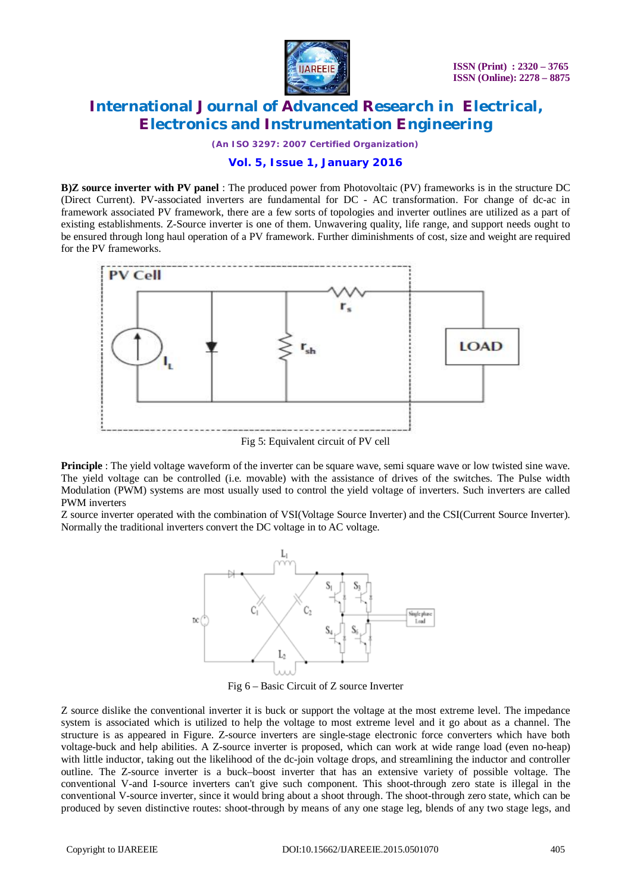

*(An ISO 3297: 2007 Certified Organization)*

### **Vol. 5, Issue 1, January 2016**

**B)Z source inverter with PV panel** : The produced power from Photovoltaic (PV) frameworks is in the structure DC (Direct Current). PV-associated inverters are fundamental for DC - AC transformation. For change of dc-ac in framework associated PV framework, there are a few sorts of topologies and inverter outlines are utilized as a part of existing establishments. Z-Source inverter is one of them. Unwavering quality, life range, and support needs ought to be ensured through long haul operation of a PV framework. Further diminishments of cost, size and weight are required for the PV frameworks.



Fig 5: Equivalent circuit of PV cell

**Principle** : The yield voltage waveform of the inverter can be square wave, semi square wave or low twisted sine wave. The yield voltage can be controlled (i.e. movable) with the assistance of drives of the switches. The Pulse width Modulation (PWM) systems are most usually used to control the yield voltage of inverters. Such inverters are called PWM inverters

Z source inverter operated with the combination of VSI(Voltage Source Inverter) and the CSI(Current Source Inverter). Normally the traditional inverters convert the DC voltage in to AC voltage.



Fig 6 – Basic Circuit of Z source Inverter

Z source dislike the conventional inverter it is buck or support the voltage at the most extreme level. The impedance system is associated which is utilized to help the voltage to most extreme level and it go about as a channel. The structure is as appeared in Figure. Z-source inverters are single-stage electronic force converters which have both voltage-buck and help abilities. A Z-source inverter is proposed, which can work at wide range load (even no-heap) with little inductor, taking out the likelihood of the dc-join voltage drops, and streamlining the inductor and controller outline. The Z-source inverter is a buck–boost inverter that has an extensive variety of possible voltage. The conventional V-and I-source inverters can't give such component. This shoot-through zero state is illegal in the conventional V-source inverter, since it would bring about a shoot through. The shoot-through zero state, which can be produced by seven distinctive routes: shoot-through by means of any one stage leg, blends of any two stage legs, and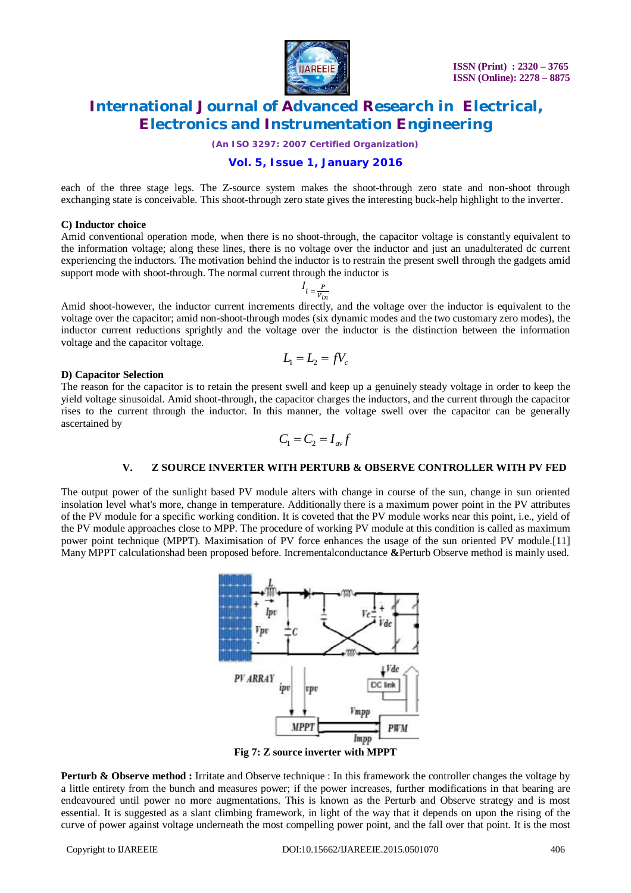

*(An ISO 3297: 2007 Certified Organization)*

### **Vol. 5, Issue 1, January 2016**

each of the three stage legs. The Z-source system makes the shoot-through zero state and non-shoot through exchanging state is conceivable. This shoot-through zero state gives the interesting buck-help highlight to the inverter.

#### **C) Inductor choice**

Amid conventional operation mode, when there is no shoot-through, the capacitor voltage is constantly equivalent to the information voltage; along these lines, there is no voltage over the inductor and just an unadulterated dc current experiencing the inductors. The motivation behind the inductor is to restrain the present swell through the gadgets amid support mode with shoot-through. The normal current through the inductor is

$$
I_{l} = \frac{P}{V_{in}}
$$

Amid shoot-however, the inductor current increments directly, and the voltage over the inductor is equivalent to the voltage over the capacitor; amid non-shoot-through modes (six dynamic modes and the two customary zero modes), the inductor current reductions sprightly and the voltage over the inductor is the distinction between the information voltage and the capacitor voltage.

$$
L_1 = L_2 = fV_c
$$

#### **D) Capacitor Selection**

The reason for the capacitor is to retain the present swell and keep up a genuinely steady voltage in order to keep the yield voltage sinusoidal. Amid shoot-through, the capacitor charges the inductors, and the current through the capacitor rises to the current through the inductor. In this manner, the voltage swell over the capacitor can be generally ascertained by

$$
C_1 = C_2 = I_{av}f
$$

#### **V. Z SOURCE INVERTER WITH PERTURB & OBSERVE CONTROLLER WITH PV FED**

The output power of the sunlight based PV module alters with change in course of the sun, change in sun oriented insolation level what's more, change in temperature. Additionally there is a maximum power point in the PV attributes of the PV module for a specific working condition. It is coveted that the PV module works near this point, i.e., yield of the PV module approaches close to MPP. The procedure of working PV module at this condition is called as maximum power point technique (MPPT). Maximisation of PV force enhances the usage of the sun oriented PV module.[11] Many MPPT calculationshad been proposed before. Incrementalconductance **&**Perturb Observe method is mainly used.



**Fig 7: Z source inverter with MPPT** 

**Perturb & Observe method :** Irritate and Observe technique : In this framework the controller changes the voltage by a little entirety from the bunch and measures power; if the power increases, further modifications in that bearing are endeavoured until power no more augmentations. This is known as the Perturb and Observe strategy and is most essential. It is suggested as a slant climbing framework, in light of the way that it depends on upon the rising of the curve of power against voltage underneath the most compelling power point, and the fall over that point. It is the most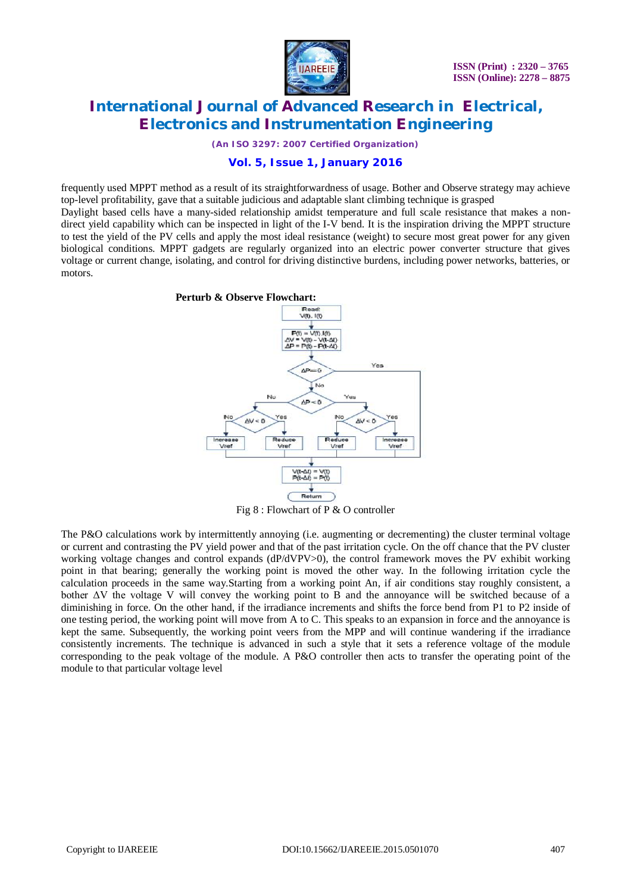

*(An ISO 3297: 2007 Certified Organization)*

### **Vol. 5, Issue 1, January 2016**

frequently used MPPT method as a result of its straightforwardness of usage. Bother and Observe strategy may achieve top-level profitability, gave that a suitable judicious and adaptable slant climbing technique is grasped

Daylight based cells have a many-sided relationship amidst temperature and full scale resistance that makes a nondirect yield capability which can be inspected in light of the I-V bend. It is the inspiration driving the MPPT structure to test the yield of the PV cells and apply the most ideal resistance (weight) to secure most great power for any given biological conditions. MPPT gadgets are regularly organized into an electric power converter structure that gives voltage or current change, isolating, and control for driving distinctive burdens, including power networks, batteries, or motors.



Fig 8 : Flowchart of P & O controller

The P&O calculations work by intermittently annoying (i.e. augmenting or decrementing) the cluster terminal voltage or current and contrasting the PV yield power and that of the past irritation cycle. On the off chance that the PV cluster working voltage changes and control expands (dP/dVPV>0), the control framework moves the PV exhibit working point in that bearing; generally the working point is moved the other way. In the following irritation cycle the calculation proceeds in the same way.Starting from a working point An, if air conditions stay roughly consistent, a bother ΔV the voltage V will convey the working point to B and the annoyance will be switched because of a diminishing in force. On the other hand, if the irradiance increments and shifts the force bend from P1 to P2 inside of one testing period, the working point will move from A to C. This speaks to an expansion in force and the annoyance is kept the same. Subsequently, the working point veers from the MPP and will continue wandering if the irradiance consistently increments. The technique is advanced in such a style that it sets a reference voltage of the module corresponding to the peak voltage of the module. A P&O controller then acts to transfer the operating point of the module to that particular voltage level